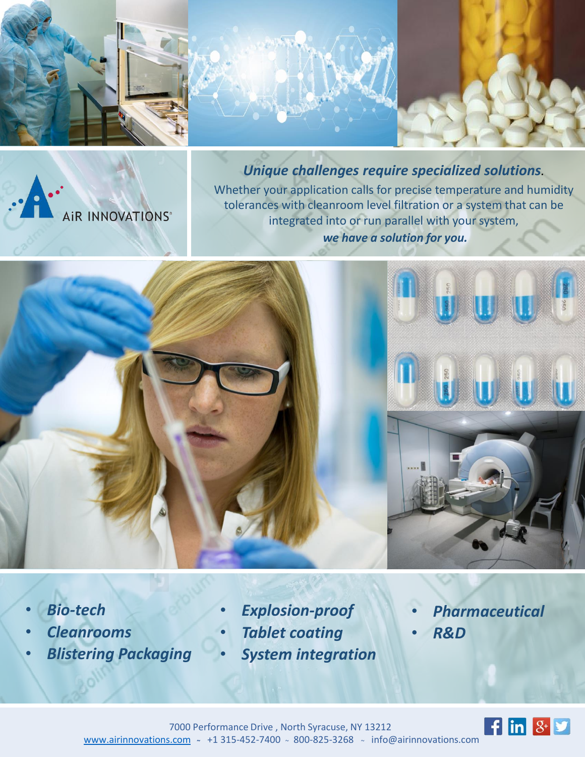

AIR INNOVATIONS®

*Unique challenges require specialized solutions.* Whether your application calls for precise temperature and humidity tolerances with cleanroom level filtration or a system that can be integrated into or run parallel with your system, *we have a solution for you.*



- *Bio-tech*
- *Cleanrooms*
- *Blistering Packaging*
- *Explosion-proof*
- *Tablet coating*
- *System integration*
- *Pharmaceutical*
- *R&D*